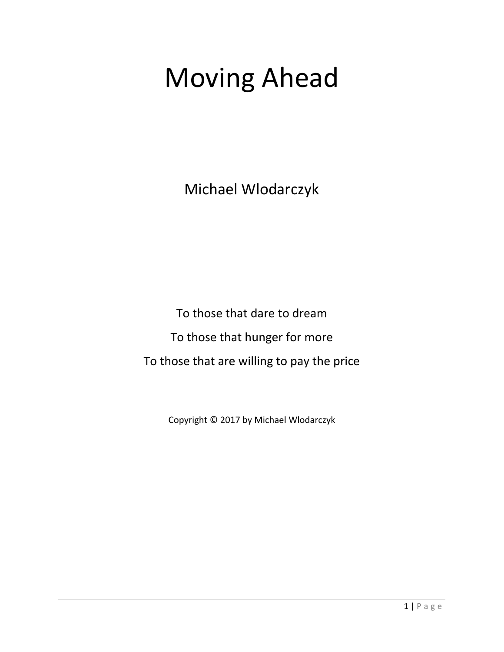# Moving Ahead

Michael Wlodarczyk

To those that dare to dream To those that hunger for more To those that are willing to pay the price

Copyright © 2017 by Michael Wlodarczyk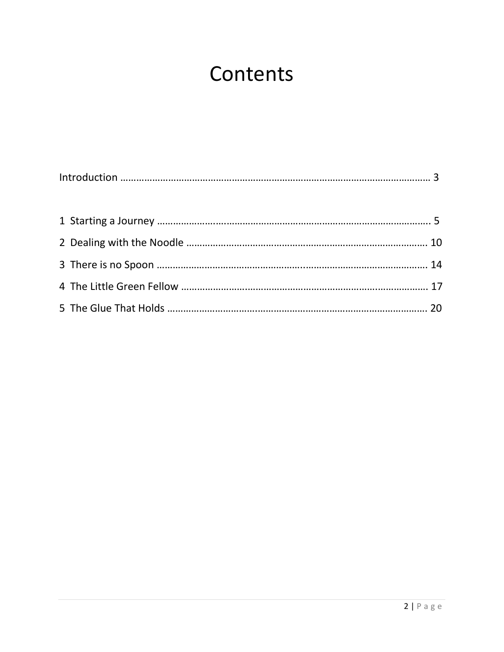#### **Contents**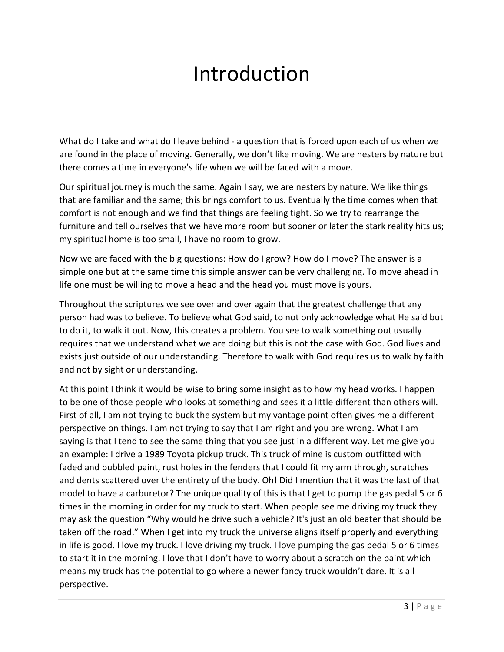#### Introduction

What do I take and what do I leave behind - a question that is forced upon each of us when we are found in the place of moving. Generally, we don't like moving. We are nesters by nature but there comes a time in everyone's life when we will be faced with a move.

Our spiritual journey is much the same. Again I say, we are nesters by nature. We like things that are familiar and the same; this brings comfort to us. Eventually the time comes when that comfort is not enough and we find that things are feeling tight. So we try to rearrange the furniture and tell ourselves that we have more room but sooner or later the stark reality hits us; my spiritual home is too small, I have no room to grow.

Now we are faced with the big questions: How do I grow? How do I move? The answer is a simple one but at the same time this simple answer can be very challenging. To move ahead in life one must be willing to move a head and the head you must move is yours.

Throughout the scriptures we see over and over again that the greatest challenge that any person had was to believe. To believe what God said, to not only acknowledge what He said but to do it, to walk it out. Now, this creates a problem. You see to walk something out usually requires that we understand what we are doing but this is not the case with God. God lives and exists just outside of our understanding. Therefore to walk with God requires us to walk by faith and not by sight or understanding.

At this point I think it would be wise to bring some insight as to how my head works. I happen to be one of those people who looks at something and sees it a little different than others will. First of all, I am not trying to buck the system but my vantage point often gives me a different perspective on things. I am not trying to say that I am right and you are wrong. What I am saying is that I tend to see the same thing that you see just in a different way. Let me give you an example: I drive a 1989 Toyota pickup truck. This truck of mine is custom outfitted with faded and bubbled paint, rust holes in the fenders that I could fit my arm through, scratches and dents scattered over the entirety of the body. Oh! Did I mention that it was the last of that model to have a carburetor? The unique quality of this is that I get to pump the gas pedal 5 or 6 times in the morning in order for my truck to start. When people see me driving my truck they may ask the question "Why would he drive such a vehicle? It's just an old beater that should be taken off the road." When I get into my truck the universe aligns itself properly and everything in life is good. I love my truck. I love driving my truck. I love pumping the gas pedal 5 or 6 times to start it in the morning. I love that I don't have to worry about a scratch on the paint which means my truck has the potential to go where a newer fancy truck wouldn't dare. It is all perspective.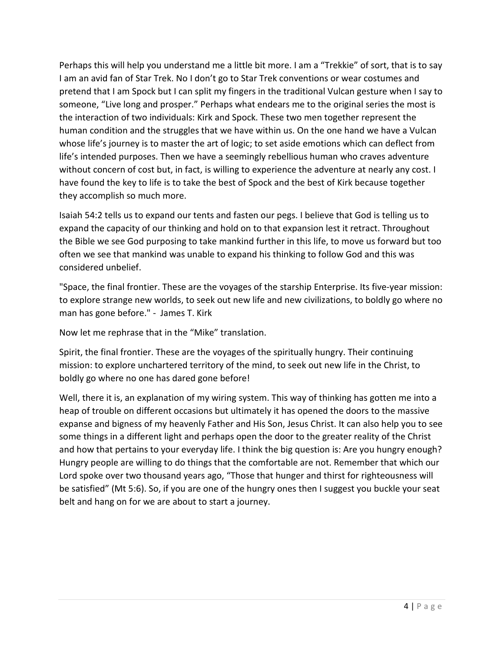Perhaps this will help you understand me a little bit more. I am a "Trekkie" of sort, that is to say I am an avid fan of Star Trek. No I don't go to Star Trek conventions or wear costumes and pretend that I am Spock but I can split my fingers in the traditional Vulcan gesture when I say to someone, "Live long and prosper." Perhaps what endears me to the original series the most is the interaction of two individuals: Kirk and Spock. These two men together represent the human condition and the struggles that we have within us. On the one hand we have a Vulcan whose life's journey is to master the art of logic; to set aside emotions which can deflect from life's intended purposes. Then we have a seemingly rebellious human who craves adventure without concern of cost but, in fact, is willing to experience the adventure at nearly any cost. I have found the key to life is to take the best of Spock and the best of Kirk because together they accomplish so much more.

Isaiah 54:2 tells us to expand our tents and fasten our pegs. I believe that God is telling us to expand the capacity of our thinking and hold on to that expansion lest it retract. Throughout the Bible we see God purposing to take mankind further in this life, to move us forward but too often we see that mankind was unable to expand his thinking to follow God and this was considered unbelief.

"Space, the final frontier. These are the voyages of the starship Enterprise. Its five-year mission: to explore strange new worlds, to seek out new life and new civilizations, to boldly go where no man has gone before." - James T. Kirk

Now let me rephrase that in the "Mike" translation.

Spirit, the final frontier. These are the voyages of the spiritually hungry. Their continuing mission: to explore unchartered territory of the mind, to seek out new life in the Christ, to boldly go where no one has dared gone before!

Well, there it is, an explanation of my wiring system. This way of thinking has gotten me into a heap of trouble on different occasions but ultimately it has opened the doors to the massive expanse and bigness of my heavenly Father and His Son, Jesus Christ. It can also help you to see some things in a different light and perhaps open the door to the greater reality of the Christ and how that pertains to your everyday life. I think the big question is: Are you hungry enough? Hungry people are willing to do things that the comfortable are not. Remember that which our Lord spoke over two thousand years ago, "Those that hunger and thirst for righteousness will be satisfied" (Mt 5:6). So, if you are one of the hungry ones then I suggest you buckle your seat belt and hang on for we are about to start a journey.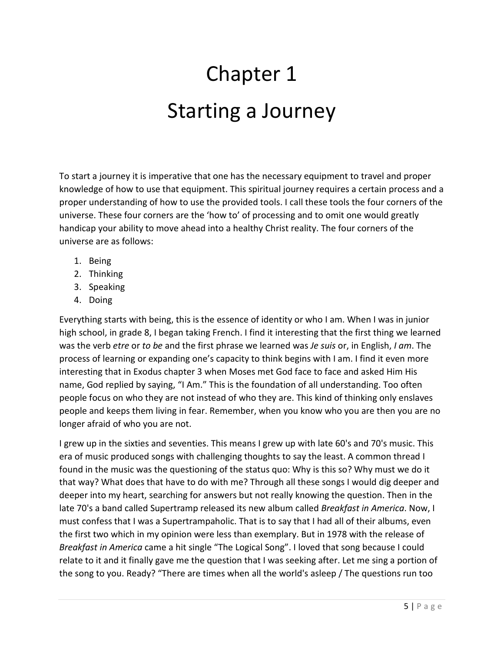# Chapter 1 Starting a Journey

To start a journey it is imperative that one has the necessary equipment to travel and proper knowledge of how to use that equipment. This spiritual journey requires a certain process and a proper understanding of how to use the provided tools. I call these tools the four corners of the universe. These four corners are the 'how to' of processing and to omit one would greatly handicap your ability to move ahead into a healthy Christ reality. The four corners of the universe are as follows:

- 1. Being
- 2. Thinking
- 3. Speaking
- 4. Doing

Everything starts with being, this is the essence of identity or who I am. When I was in junior high school, in grade 8, I began taking French. I find it interesting that the first thing we learned was the verb *etre* or *to be* and the first phrase we learned was *Je suis* or, in English, *I am*. The process of learning or expanding one's capacity to think begins with I am. I find it even more interesting that in Exodus chapter 3 when Moses met God face to face and asked Him His name, God replied by saying, "I Am." This is the foundation of all understanding. Too often people focus on who they are not instead of who they are. This kind of thinking only enslaves people and keeps them living in fear. Remember, when you know who you are then you are no longer afraid of who you are not.

I grew up in the sixties and seventies. This means I grew up with late 60's and 70's music. This era of music produced songs with challenging thoughts to say the least. A common thread I found in the music was the questioning of the status quo: Why is this so? Why must we do it that way? What does that have to do with me? Through all these songs I would dig deeper and deeper into my heart, searching for answers but not really knowing the question. Then in the late 70's a band called Supertramp released its new album called *Breakfast in America*. Now, I must confess that I was a Supertrampaholic. That is to say that I had all of their albums, even the first two which in my opinion were less than exemplary. But in 1978 with the release of *Breakfast in America* came a hit single "The Logical Song". I loved that song because I could relate to it and it finally gave me the question that I was seeking after. Let me sing a portion of the song to you. Ready? "There are times when all the world's asleep / The questions run too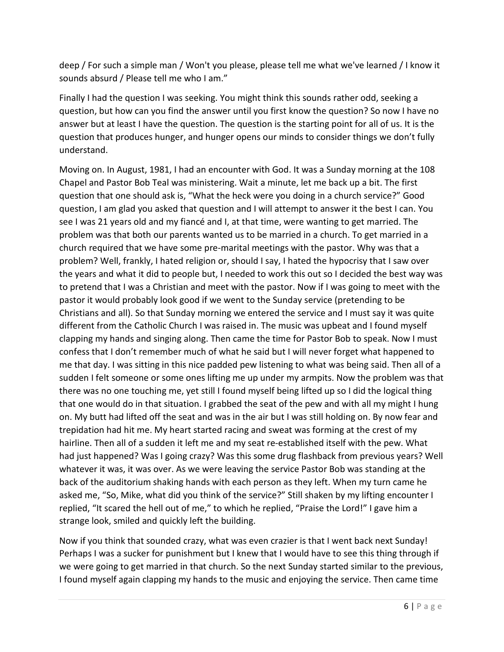deep / For such a simple man / Won't you please, please tell me what we've learned / I know it sounds absurd / Please tell me who I am."

Finally I had the question I was seeking. You might think this sounds rather odd, seeking a question, but how can you find the answer until you first know the question? So now I have no answer but at least I have the question. The question is the starting point for all of us. It is the question that produces hunger, and hunger opens our minds to consider things we don't fully understand.

Moving on. In August, 1981, I had an encounter with God. It was a Sunday morning at the 108 Chapel and Pastor Bob Teal was ministering. Wait a minute, let me back up a bit. The first question that one should ask is, "What the heck were you doing in a church service?" Good question, I am glad you asked that question and I will attempt to answer it the best I can. You see I was 21 years old and my fiancé and I, at that time, were wanting to get married. The problem was that both our parents wanted us to be married in a church. To get married in a church required that we have some pre-marital meetings with the pastor. Why was that a problem? Well, frankly, I hated religion or, should I say, I hated the hypocrisy that I saw over the years and what it did to people but, I needed to work this out so I decided the best way was to pretend that I was a Christian and meet with the pastor. Now if I was going to meet with the pastor it would probably look good if we went to the Sunday service (pretending to be Christians and all). So that Sunday morning we entered the service and I must say it was quite different from the Catholic Church I was raised in. The music was upbeat and I found myself clapping my hands and singing along. Then came the time for Pastor Bob to speak. Now I must confess that I don't remember much of what he said but I will never forget what happened to me that day. I was sitting in this nice padded pew listening to what was being said. Then all of a sudden I felt someone or some ones lifting me up under my armpits. Now the problem was that there was no one touching me, yet still I found myself being lifted up so I did the logical thing that one would do in that situation. I grabbed the seat of the pew and with all my might I hung on. My butt had lifted off the seat and was in the air but I was still holding on. By now fear and trepidation had hit me. My heart started racing and sweat was forming at the crest of my hairline. Then all of a sudden it left me and my seat re-established itself with the pew. What had just happened? Was I going crazy? Was this some drug flashback from previous years? Well whatever it was, it was over. As we were leaving the service Pastor Bob was standing at the back of the auditorium shaking hands with each person as they left. When my turn came he asked me, "So, Mike, what did you think of the service?" Still shaken by my lifting encounter I replied, "It scared the hell out of me," to which he replied, "Praise the Lord!" I gave him a strange look, smiled and quickly left the building.

Now if you think that sounded crazy, what was even crazier is that I went back next Sunday! Perhaps I was a sucker for punishment but I knew that I would have to see this thing through if we were going to get married in that church. So the next Sunday started similar to the previous, I found myself again clapping my hands to the music and enjoying the service. Then came time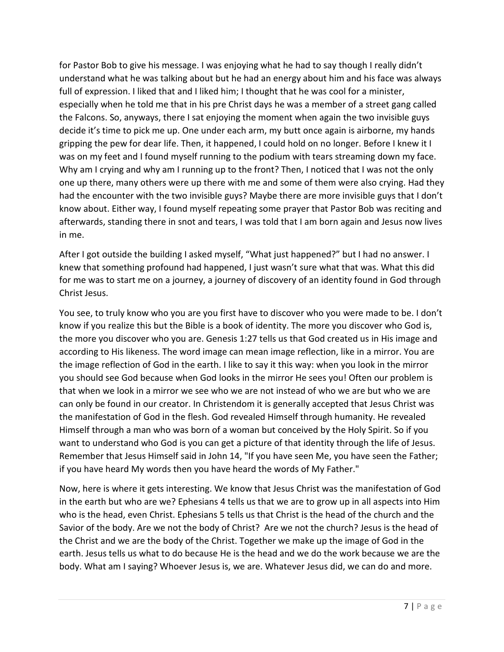for Pastor Bob to give his message. I was enjoying what he had to say though I really didn't understand what he was talking about but he had an energy about him and his face was always full of expression. I liked that and I liked him; I thought that he was cool for a minister, especially when he told me that in his pre Christ days he was a member of a street gang called the Falcons. So, anyways, there I sat enjoying the moment when again the two invisible guys decide it's time to pick me up. One under each arm, my butt once again is airborne, my hands gripping the pew for dear life. Then, it happened, I could hold on no longer. Before I knew it I was on my feet and I found myself running to the podium with tears streaming down my face. Why am I crying and why am I running up to the front? Then, I noticed that I was not the only one up there, many others were up there with me and some of them were also crying. Had they had the encounter with the two invisible guys? Maybe there are more invisible guys that I don't know about. Either way, I found myself repeating some prayer that Pastor Bob was reciting and afterwards, standing there in snot and tears, I was told that I am born again and Jesus now lives in me.

After I got outside the building I asked myself, "What just happened?" but I had no answer. I knew that something profound had happened, I just wasn't sure what that was. What this did for me was to start me on a journey, a journey of discovery of an identity found in God through Christ Jesus.

You see, to truly know who you are you first have to discover who you were made to be. I don't know if you realize this but the Bible is a book of identity. The more you discover who God is, the more you discover who you are. Genesis 1:27 tells us that God created us in His image and according to His likeness. The word image can mean image reflection, like in a mirror. You are the image reflection of God in the earth. I like to say it this way: when you look in the mirror you should see God because when God looks in the mirror He sees you! Often our problem is that when we look in a mirror we see who we are not instead of who we are but who we are can only be found in our creator. In Christendom it is generally accepted that Jesus Christ was the manifestation of God in the flesh. God revealed Himself through humanity. He revealed Himself through a man who was born of a woman but conceived by the Holy Spirit. So if you want to understand who God is you can get a picture of that identity through the life of Jesus. Remember that Jesus Himself said in John 14, "If you have seen Me, you have seen the Father; if you have heard My words then you have heard the words of My Father."

Now, here is where it gets interesting. We know that Jesus Christ was the manifestation of God in the earth but who are we? Ephesians 4 tells us that we are to grow up in all aspects into Him who is the head, even Christ. Ephesians 5 tells us that Christ is the head of the church and the Savior of the body. Are we not the body of Christ? Are we not the church? Jesus is the head of the Christ and we are the body of the Christ. Together we make up the image of God in the earth. Jesus tells us what to do because He is the head and we do the work because we are the body. What am I saying? Whoever Jesus is, we are. Whatever Jesus did, we can do and more.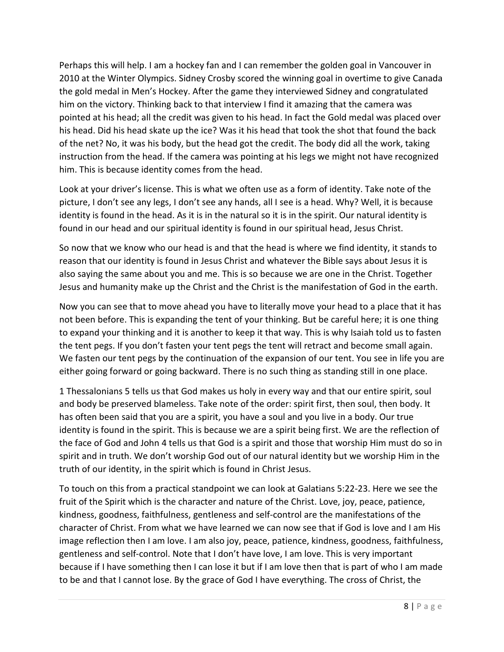Perhaps this will help. I am a hockey fan and I can remember the golden goal in Vancouver in 2010 at the Winter Olympics. Sidney Crosby scored the winning goal in overtime to give Canada the gold medal in Men's Hockey. After the game they interviewed Sidney and congratulated him on the victory. Thinking back to that interview I find it amazing that the camera was pointed at his head; all the credit was given to his head. In fact the Gold medal was placed over his head. Did his head skate up the ice? Was it his head that took the shot that found the back of the net? No, it was his body, but the head got the credit. The body did all the work, taking instruction from the head. If the camera was pointing at his legs we might not have recognized him. This is because identity comes from the head.

Look at your driver's license. This is what we often use as a form of identity. Take note of the picture, I don't see any legs, I don't see any hands, all I see is a head. Why? Well, it is because identity is found in the head. As it is in the natural so it is in the spirit. Our natural identity is found in our head and our spiritual identity is found in our spiritual head, Jesus Christ.

So now that we know who our head is and that the head is where we find identity, it stands to reason that our identity is found in Jesus Christ and whatever the Bible says about Jesus it is also saying the same about you and me. This is so because we are one in the Christ. Together Jesus and humanity make up the Christ and the Christ is the manifestation of God in the earth.

Now you can see that to move ahead you have to literally move your head to a place that it has not been before. This is expanding the tent of your thinking. But be careful here; it is one thing to expand your thinking and it is another to keep it that way. This is why Isaiah told us to fasten the tent pegs. If you don't fasten your tent pegs the tent will retract and become small again. We fasten our tent pegs by the continuation of the expansion of our tent. You see in life you are either going forward or going backward. There is no such thing as standing still in one place.

1 Thessalonians 5 tells us that God makes us holy in every way and that our entire spirit, soul and body be preserved blameless. Take note of the order: spirit first, then soul, then body. It has often been said that you are a spirit, you have a soul and you live in a body. Our true identity is found in the spirit. This is because we are a spirit being first. We are the reflection of the face of God and John 4 tells us that God is a spirit and those that worship Him must do so in spirit and in truth. We don't worship God out of our natural identity but we worship Him in the truth of our identity, in the spirit which is found in Christ Jesus.

To touch on this from a practical standpoint we can look at Galatians 5:22-23. Here we see the fruit of the Spirit which is the character and nature of the Christ. Love, joy, peace, patience, kindness, goodness, faithfulness, gentleness and self-control are the manifestations of the character of Christ. From what we have learned we can now see that if God is love and I am His image reflection then I am love. I am also joy, peace, patience, kindness, goodness, faithfulness, gentleness and self-control. Note that I don't have love, I am love. This is very important because if I have something then I can lose it but if I am love then that is part of who I am made to be and that I cannot lose. By the grace of God I have everything. The cross of Christ, the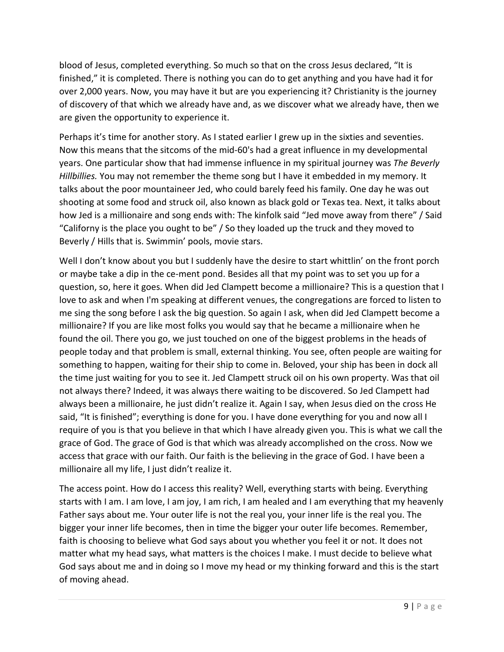blood of Jesus, completed everything. So much so that on the cross Jesus declared, "It is finished," it is completed. There is nothing you can do to get anything and you have had it for over 2,000 years. Now, you may have it but are you experiencing it? Christianity is the journey of discovery of that which we already have and, as we discover what we already have, then we are given the opportunity to experience it.

Perhaps it's time for another story. As I stated earlier I grew up in the sixties and seventies. Now this means that the sitcoms of the mid-60's had a great influence in my developmental years. One particular show that had immense influence in my spiritual journey was *The Beverly Hillbillies.* You may not remember the theme song but I have it embedded in my memory. It talks about the poor mountaineer Jed, who could barely feed his family. One day he was out shooting at some food and struck oil, also known as black gold or Texas tea. Next, it talks about how Jed is a millionaire and song ends with: The kinfolk said "Jed move away from there" / Said "Californy is the place you ought to be" / So they loaded up the truck and they moved to Beverly / Hills that is. Swimmin' pools, movie stars.

Well I don't know about you but I suddenly have the desire to start whittlin' on the front porch or maybe take a dip in the ce-ment pond. Besides all that my point was to set you up for a question, so, here it goes. When did Jed Clampett become a millionaire? This is a question that I love to ask and when I'm speaking at different venues, the congregations are forced to listen to me sing the song before I ask the big question. So again I ask, when did Jed Clampett become a millionaire? If you are like most folks you would say that he became a millionaire when he found the oil. There you go, we just touched on one of the biggest problems in the heads of people today and that problem is small, external thinking. You see, often people are waiting for something to happen, waiting for their ship to come in. Beloved, your ship has been in dock all the time just waiting for you to see it. Jed Clampett struck oil on his own property. Was that oil not always there? Indeed, it was always there waiting to be discovered. So Jed Clampett had always been a millionaire, he just didn't realize it. Again I say, when Jesus died on the cross He said, "It is finished"; everything is done for you. I have done everything for you and now all I require of you is that you believe in that which I have already given you. This is what we call the grace of God. The grace of God is that which was already accomplished on the cross. Now we access that grace with our faith. Our faith is the believing in the grace of God. I have been a millionaire all my life, I just didn't realize it.

The access point. How do I access this reality? Well, everything starts with being. Everything starts with I am. I am love, I am joy, I am rich, I am healed and I am everything that my heavenly Father says about me. Your outer life is not the real you, your inner life is the real you. The bigger your inner life becomes, then in time the bigger your outer life becomes. Remember, faith is choosing to believe what God says about you whether you feel it or not. It does not matter what my head says, what matters is the choices I make. I must decide to believe what God says about me and in doing so I move my head or my thinking forward and this is the start of moving ahead.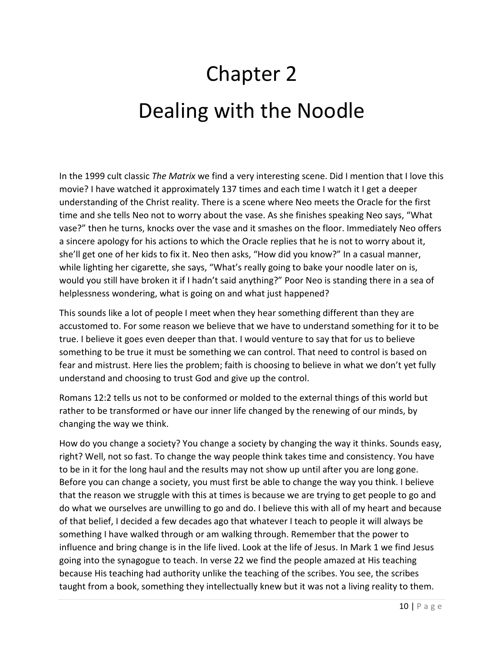# Chapter 2 Dealing with the Noodle

In the 1999 cult classic *The Matrix* we find a very interesting scene. Did I mention that I love this movie? I have watched it approximately 137 times and each time I watch it I get a deeper understanding of the Christ reality. There is a scene where Neo meets the Oracle for the first time and she tells Neo not to worry about the vase. As she finishes speaking Neo says, "What vase?" then he turns, knocks over the vase and it smashes on the floor. Immediately Neo offers a sincere apology for his actions to which the Oracle replies that he is not to worry about it, she'll get one of her kids to fix it. Neo then asks, "How did you know?" In a casual manner, while lighting her cigarette, she says, "What's really going to bake your noodle later on is, would you still have broken it if I hadn't said anything?" Poor Neo is standing there in a sea of helplessness wondering, what is going on and what just happened?

This sounds like a lot of people I meet when they hear something different than they are accustomed to. For some reason we believe that we have to understand something for it to be true. I believe it goes even deeper than that. I would venture to say that for us to believe something to be true it must be something we can control. That need to control is based on fear and mistrust. Here lies the problem; faith is choosing to believe in what we don't yet fully understand and choosing to trust God and give up the control.

Romans 12:2 tells us not to be conformed or molded to the external things of this world but rather to be transformed or have our inner life changed by the renewing of our minds, by changing the way we think.

How do you change a society? You change a society by changing the way it thinks. Sounds easy, right? Well, not so fast. To change the way people think takes time and consistency. You have to be in it for the long haul and the results may not show up until after you are long gone. Before you can change a society, you must first be able to change the way you think. I believe that the reason we struggle with this at times is because we are trying to get people to go and do what we ourselves are unwilling to go and do. I believe this with all of my heart and because of that belief, I decided a few decades ago that whatever I teach to people it will always be something I have walked through or am walking through. Remember that the power to influence and bring change is in the life lived. Look at the life of Jesus. In Mark 1 we find Jesus going into the synagogue to teach. In verse 22 we find the people amazed at His teaching because His teaching had authority unlike the teaching of the scribes. You see, the scribes taught from a book, something they intellectually knew but it was not a living reality to them.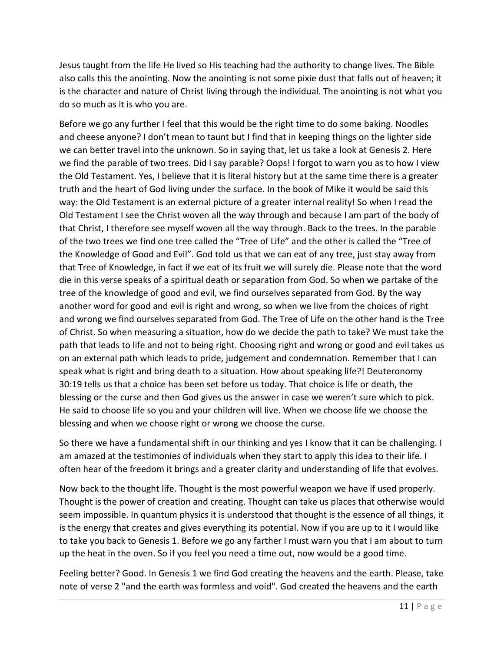Jesus taught from the life He lived so His teaching had the authority to change lives. The Bible also calls this the anointing. Now the anointing is not some pixie dust that falls out of heaven; it is the character and nature of Christ living through the individual. The anointing is not what you do so much as it is who you are.

Before we go any further I feel that this would be the right time to do some baking. Noodles and cheese anyone? I don't mean to taunt but I find that in keeping things on the lighter side we can better travel into the unknown. So in saying that, let us take a look at Genesis 2. Here we find the parable of two trees. Did I say parable? Oops! I forgot to warn you as to how I view the Old Testament. Yes, I believe that it is literal history but at the same time there is a greater truth and the heart of God living under the surface. In the book of Mike it would be said this way: the Old Testament is an external picture of a greater internal reality! So when I read the Old Testament I see the Christ woven all the way through and because I am part of the body of that Christ, I therefore see myself woven all the way through. Back to the trees. In the parable of the two trees we find one tree called the "Tree of Life" and the other is called the "Tree of the Knowledge of Good and Evil". God told us that we can eat of any tree, just stay away from that Tree of Knowledge, in fact if we eat of its fruit we will surely die. Please note that the word die in this verse speaks of a spiritual death or separation from God. So when we partake of the tree of the knowledge of good and evil, we find ourselves separated from God. By the way another word for good and evil is right and wrong, so when we live from the choices of right and wrong we find ourselves separated from God. The Tree of Life on the other hand is the Tree of Christ. So when measuring a situation, how do we decide the path to take? We must take the path that leads to life and not to being right. Choosing right and wrong or good and evil takes us on an external path which leads to pride, judgement and condemnation. Remember that I can speak what is right and bring death to a situation. How about speaking life?! Deuteronomy 30:19 tells us that a choice has been set before us today. That choice is life or death, the blessing or the curse and then God gives us the answer in case we weren't sure which to pick. He said to choose life so you and your children will live. When we choose life we choose the blessing and when we choose right or wrong we choose the curse.

So there we have a fundamental shift in our thinking and yes I know that it can be challenging. I am amazed at the testimonies of individuals when they start to apply this idea to their life. I often hear of the freedom it brings and a greater clarity and understanding of life that evolves.

Now back to the thought life. Thought is the most powerful weapon we have if used properly. Thought is the power of creation and creating. Thought can take us places that otherwise would seem impossible. In quantum physics it is understood that thought is the essence of all things, it is the energy that creates and gives everything its potential. Now if you are up to it I would like to take you back to Genesis 1. Before we go any farther I must warn you that I am about to turn up the heat in the oven. So if you feel you need a time out, now would be a good time.

Feeling better? Good. In Genesis 1 we find God creating the heavens and the earth. Please, take note of verse 2 "and the earth was formless and void". God created the heavens and the earth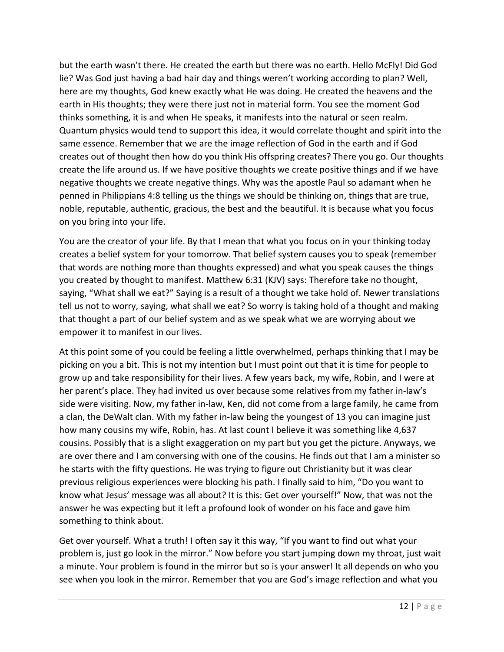but the earth wasn't there. He created the earth but there was no earth. Hello McFly! Did God lie? Was God just having a bad hair day and things weren't working according to plan? Well, here are my thoughts, God knew exactly what He was doing. He created the heavens and the earth in His thoughts; they were there just not in material form. You see the moment God thinks something, it is and when He speaks, it manifests into the natural or seen realm. Quantum physics would tend to support this idea, it would correlate thought and spirit into the same essence. Remember that we are the image reflection of God in the earth and if God creates out of thought then how do you think His offspring creates? There you go. Our thoughts create the life around us. If we have positive thoughts we create positive things and if we have negative thoughts we create negative things. Why was the apostle Paul so adamant when he penned in Philippians 4:8 telling us the things we should be thinking on, things that are true, noble, reputable, authentic, gracious, the best and the beautiful. It is because what you focus on you bring into your life.

You are the creator of your life. By that I mean that what you focus on in your thinking today creates a belief system for your tomorrow. That belief system causes you to speak (remember that words are nothing more than thoughts expressed) and what you speak causes the things you created by thought to manifest. Matthew 6:31 (KJV) says: Therefore take no thought, saying, "What shall we eat?" Saying is a result of a thought we take hold of. Newer translations tell us not to worry, saying, what shall we eat? So worry is taking hold of a thought and making that thought a part of our belief system and as we speak what we are worrying about we empower it to manifest in our lives.

At this point some of you could be feeling a little overwhelmed, perhaps thinking that I may be picking on you a bit. This is not my intention but I must point out that it is time for people to grow up and take responsibility for their lives. A few years back, my wife, Robin, and I were at her parent's place. They had invited us over because some relatives from my father in-law's side were visiting. Now, my father in-law, Ken, did not come from a large family, he came from a clan, the DeWalt clan. With my father in-law being the youngest of 13 you can imagine just how many cousins my wife, Robin, has. At last count I believe it was something like 4,637 cousins. Possibly that is a slight exaggeration on my part but you get the picture. Anyways, we are over there and I am conversing with one of the cousins. He finds out that I am a minister so he starts with the fifty questions. He was trying to figure out Christianity but it was clear previous religious experiences were blocking his path. I finally said to him, "Do you want to know what Jesus' message was all about? It is this: Get over yourself!" Now, that was not the answer he was expecting but it left a profound look of wonder on his face and gave him something to think about.

Get over yourself. What a truth! I often say it this way, "If you want to find out what your problem is, just go look in the mirror." Now before you start jumping down my throat, just wait a minute. Your problem is found in the mirror but so is your answer! It all depends on who you see when you look in the mirror. Remember that you are God's image reflection and what you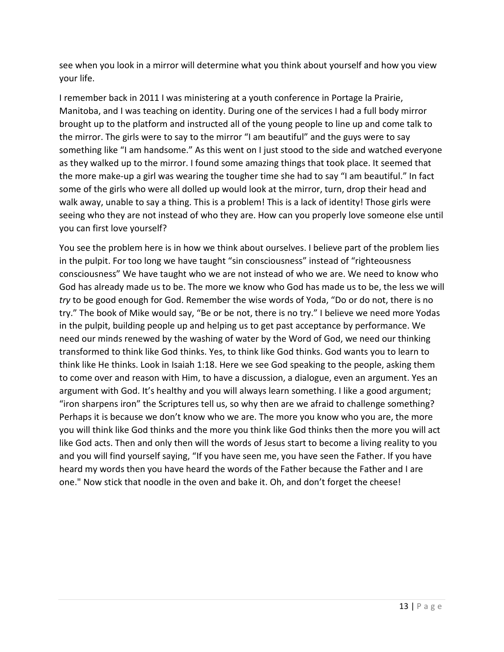see when you look in a mirror will determine what you think about yourself and how you view your life.

I remember back in 2011 I was ministering at a youth conference in Portage la Prairie, Manitoba, and I was teaching on identity. During one of the services I had a full body mirror brought up to the platform and instructed all of the young people to line up and come talk to the mirror. The girls were to say to the mirror "I am beautiful" and the guys were to say something like "I am handsome." As this went on I just stood to the side and watched everyone as they walked up to the mirror. I found some amazing things that took place. It seemed that the more make-up a girl was wearing the tougher time she had to say "I am beautiful." In fact some of the girls who were all dolled up would look at the mirror, turn, drop their head and walk away, unable to say a thing. This is a problem! This is a lack of identity! Those girls were seeing who they are not instead of who they are. How can you properly love someone else until you can first love yourself?

You see the problem here is in how we think about ourselves. I believe part of the problem lies in the pulpit. For too long we have taught "sin consciousness" instead of "righteousness consciousness" We have taught who we are not instead of who we are. We need to know who God has already made us to be. The more we know who God has made us to be, the less we will *try* to be good enough for God. Remember the wise words of Yoda, "Do or do not, there is no try." The book of Mike would say, "Be or be not, there is no try." I believe we need more Yodas in the pulpit, building people up and helping us to get past acceptance by performance. We need our minds renewed by the washing of water by the Word of God, we need our thinking transformed to think like God thinks. Yes, to think like God thinks. God wants you to learn to think like He thinks. Look in Isaiah 1:18. Here we see God speaking to the people, asking them to come over and reason with Him, to have a discussion, a dialogue, even an argument. Yes an argument with God. It's healthy and you will always learn something. I like a good argument; "iron sharpens iron" the Scriptures tell us, so why then are we afraid to challenge something? Perhaps it is because we don't know who we are. The more you know who you are, the more you will think like God thinks and the more you think like God thinks then the more you will act like God acts. Then and only then will the words of Jesus start to become a living reality to you and you will find yourself saying, "If you have seen me, you have seen the Father. If you have heard my words then you have heard the words of the Father because the Father and I are one." Now stick that noodle in the oven and bake it. Oh, and don't forget the cheese!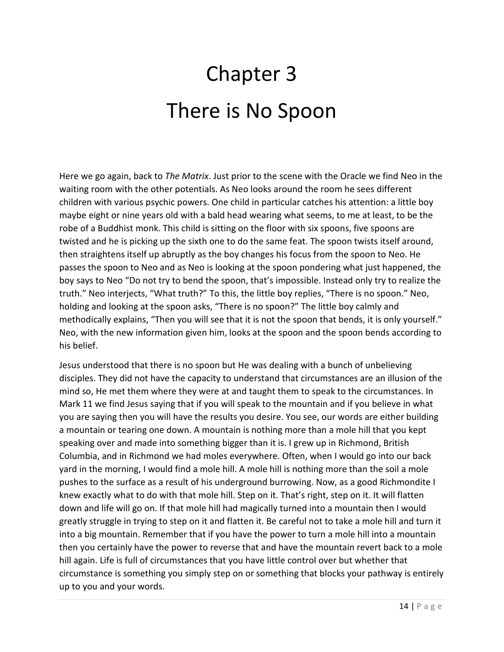### Chapter 3 There is No Spoon

Here we go again, back to *The Matrix*. Just prior to the scene with the Oracle we find Neo in the waiting room with the other potentials. As Neo looks around the room he sees different children with various psychic powers. One child in particular catches his attention: a little boy maybe eight or nine years old with a bald head wearing what seems, to me at least, to be the robe of a Buddhist monk. This child is sitting on the floor with six spoons, five spoons are twisted and he is picking up the sixth one to do the same feat. The spoon twists itself around, then straightens itself up abruptly as the boy changes his focus from the spoon to Neo. He passes the spoon to Neo and as Neo is looking at the spoon pondering what just happened, the boy says to Neo "Do not try to bend the spoon, that's impossible. Instead only try to realize the truth." Neo interjects, "What truth?" To this, the little boy replies, "There is no spoon." Neo, holding and looking at the spoon asks, "There is no spoon?" The little boy calmly and methodically explains, "Then you will see that it is not the spoon that bends, it is only yourself." Neo, with the new information given him, looks at the spoon and the spoon bends according to his belief.

Jesus understood that there is no spoon but He was dealing with a bunch of unbelieving disciples. They did not have the capacity to understand that circumstances are an illusion of the mind so, He met them where they were at and taught them to speak to the circumstances. In Mark 11 we find Jesus saying that if you will speak to the mountain and if you believe in what you are saying then you will have the results you desire. You see, our words are either building a mountain or tearing one down. A mountain is nothing more than a mole hill that you kept speaking over and made into something bigger than it is. I grew up in Richmond, British Columbia, and in Richmond we had moles everywhere. Often, when I would go into our back yard in the morning, I would find a mole hill. A mole hill is nothing more than the soil a mole pushes to the surface as a result of his underground burrowing. Now, as a good Richmondite I knew exactly what to do with that mole hill. Step on it. That's right, step on it. It will flatten down and life will go on. If that mole hill had magically turned into a mountain then I would greatly struggle in trying to step on it and flatten it. Be careful not to take a mole hill and turn it into a big mountain. Remember that if you have the power to turn a mole hill into a mountain then you certainly have the power to reverse that and have the mountain revert back to a mole hill again. Life is full of circumstances that you have little control over but whether that circumstance is something you simply step on or something that blocks your pathway is entirely up to you and your words.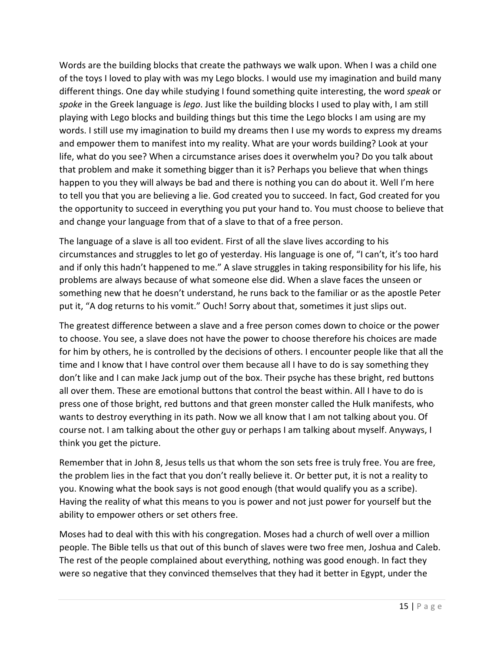Words are the building blocks that create the pathways we walk upon. When I was a child one of the toys I loved to play with was my Lego blocks. I would use my imagination and build many different things. One day while studying I found something quite interesting, the word *speak* or *spoke* in the Greek language is *lego*. Just like the building blocks I used to play with, I am still playing with Lego blocks and building things but this time the Lego blocks I am using are my words. I still use my imagination to build my dreams then I use my words to express my dreams and empower them to manifest into my reality. What are your words building? Look at your life, what do you see? When a circumstance arises does it overwhelm you? Do you talk about that problem and make it something bigger than it is? Perhaps you believe that when things happen to you they will always be bad and there is nothing you can do about it. Well I'm here to tell you that you are believing a lie. God created you to succeed. In fact, God created for you the opportunity to succeed in everything you put your hand to. You must choose to believe that and change your language from that of a slave to that of a free person.

The language of a slave is all too evident. First of all the slave lives according to his circumstances and struggles to let go of yesterday. His language is one of, "I can't, it's too hard and if only this hadn't happened to me." A slave struggles in taking responsibility for his life, his problems are always because of what someone else did. When a slave faces the unseen or something new that he doesn't understand, he runs back to the familiar or as the apostle Peter put it, "A dog returns to his vomit." Ouch! Sorry about that, sometimes it just slips out.

The greatest difference between a slave and a free person comes down to choice or the power to choose. You see, a slave does not have the power to choose therefore his choices are made for him by others, he is controlled by the decisions of others. I encounter people like that all the time and I know that I have control over them because all I have to do is say something they don't like and I can make Jack jump out of the box. Their psyche has these bright, red buttons all over them. These are emotional buttons that control the beast within. All I have to do is press one of those bright, red buttons and that green monster called the Hulk manifests, who wants to destroy everything in its path. Now we all know that I am not talking about you. Of course not. I am talking about the other guy or perhaps I am talking about myself. Anyways, I think you get the picture.

Remember that in John 8, Jesus tells us that whom the son sets free is truly free. You are free, the problem lies in the fact that you don't really believe it. Or better put, it is not a reality to you. Knowing what the book says is not good enough (that would qualify you as a scribe). Having the reality of what this means to you is power and not just power for yourself but the ability to empower others or set others free.

Moses had to deal with this with his congregation. Moses had a church of well over a million people. The Bible tells us that out of this bunch of slaves were two free men, Joshua and Caleb. The rest of the people complained about everything, nothing was good enough. In fact they were so negative that they convinced themselves that they had it better in Egypt, under the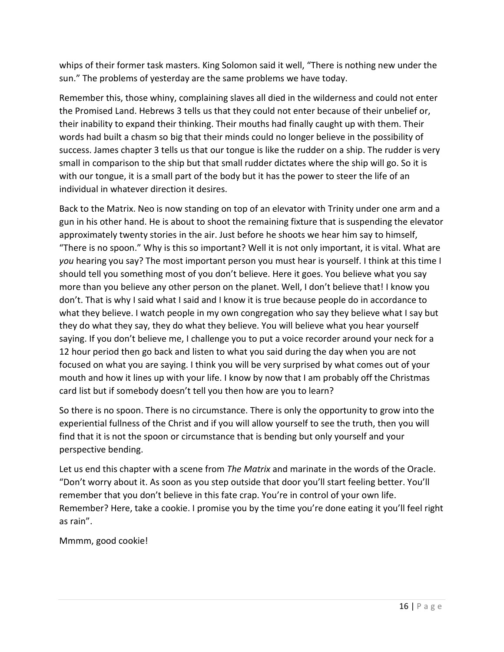whips of their former task masters. King Solomon said it well, "There is nothing new under the sun." The problems of yesterday are the same problems we have today.

Remember this, those whiny, complaining slaves all died in the wilderness and could not enter the Promised Land. Hebrews 3 tells us that they could not enter because of their unbelief or, their inability to expand their thinking. Their mouths had finally caught up with them. Their words had built a chasm so big that their minds could no longer believe in the possibility of success. James chapter 3 tells us that our tongue is like the rudder on a ship. The rudder is very small in comparison to the ship but that small rudder dictates where the ship will go. So it is with our tongue, it is a small part of the body but it has the power to steer the life of an individual in whatever direction it desires.

Back to the Matrix. Neo is now standing on top of an elevator with Trinity under one arm and a gun in his other hand. He is about to shoot the remaining fixture that is suspending the elevator approximately twenty stories in the air. Just before he shoots we hear him say to himself, "There is no spoon." Why is this so important? Well it is not only important, it is vital. What are *you* hearing you say? The most important person you must hear is yourself. I think at this time I should tell you something most of you don't believe. Here it goes. You believe what you say more than you believe any other person on the planet. Well, I don't believe that! I know you don't. That is why I said what I said and I know it is true because people do in accordance to what they believe. I watch people in my own congregation who say they believe what I say but they do what they say, they do what they believe. You will believe what you hear yourself saying. If you don't believe me, I challenge you to put a voice recorder around your neck for a 12 hour period then go back and listen to what you said during the day when you are not focused on what you are saying. I think you will be very surprised by what comes out of your mouth and how it lines up with your life. I know by now that I am probably off the Christmas card list but if somebody doesn't tell you then how are you to learn?

So there is no spoon. There is no circumstance. There is only the opportunity to grow into the experiential fullness of the Christ and if you will allow yourself to see the truth, then you will find that it is not the spoon or circumstance that is bending but only yourself and your perspective bending.

Let us end this chapter with a scene from *The Matrix* and marinate in the words of the Oracle. "Don't worry about it. As soon as you step outside that door you'll start feeling better. You'll remember that you don't believe in this fate crap. You're in control of your own life. Remember? Here, take a cookie. I promise you by the time you're done eating it you'll feel right as rain".

Mmmm, good cookie!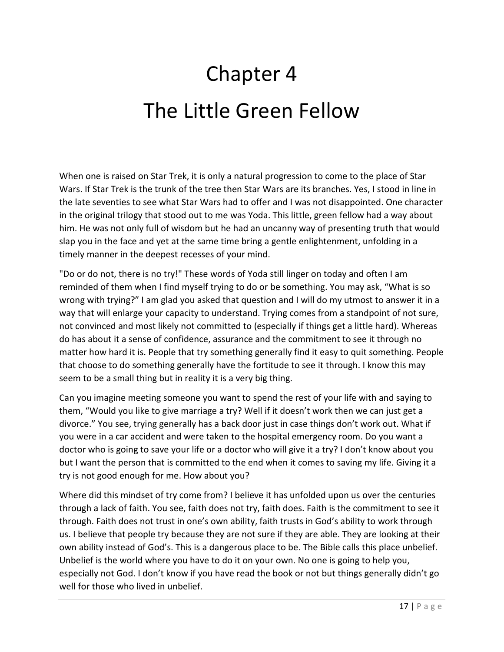# Chapter 4 The Little Green Fellow

When one is raised on Star Trek, it is only a natural progression to come to the place of Star Wars. If Star Trek is the trunk of the tree then Star Wars are its branches. Yes, I stood in line in the late seventies to see what Star Wars had to offer and I was not disappointed. One character in the original trilogy that stood out to me was Yoda. This little, green fellow had a way about him. He was not only full of wisdom but he had an uncanny way of presenting truth that would slap you in the face and yet at the same time bring a gentle enlightenment, unfolding in a timely manner in the deepest recesses of your mind.

"Do or do not, there is no try!" These words of Yoda still linger on today and often I am reminded of them when I find myself trying to do or be something. You may ask, "What is so wrong with trying?" I am glad you asked that question and I will do my utmost to answer it in a way that will enlarge your capacity to understand. Trying comes from a standpoint of not sure, not convinced and most likely not committed to (especially if things get a little hard). Whereas do has about it a sense of confidence, assurance and the commitment to see it through no matter how hard it is. People that try something generally find it easy to quit something. People that choose to do something generally have the fortitude to see it through. I know this may seem to be a small thing but in reality it is a very big thing.

Can you imagine meeting someone you want to spend the rest of your life with and saying to them, "Would you like to give marriage a try? Well if it doesn't work then we can just get a divorce." You see, trying generally has a back door just in case things don't work out. What if you were in a car accident and were taken to the hospital emergency room. Do you want a doctor who is going to save your life or a doctor who will give it a try? I don't know about you but I want the person that is committed to the end when it comes to saving my life. Giving it a try is not good enough for me. How about you?

Where did this mindset of try come from? I believe it has unfolded upon us over the centuries through a lack of faith. You see, faith does not try, faith does. Faith is the commitment to see it through. Faith does not trust in one's own ability, faith trusts in God's ability to work through us. I believe that people try because they are not sure if they are able. They are looking at their own ability instead of God's. This is a dangerous place to be. The Bible calls this place unbelief. Unbelief is the world where you have to do it on your own. No one is going to help you, especially not God. I don't know if you have read the book or not but things generally didn't go well for those who lived in unbelief.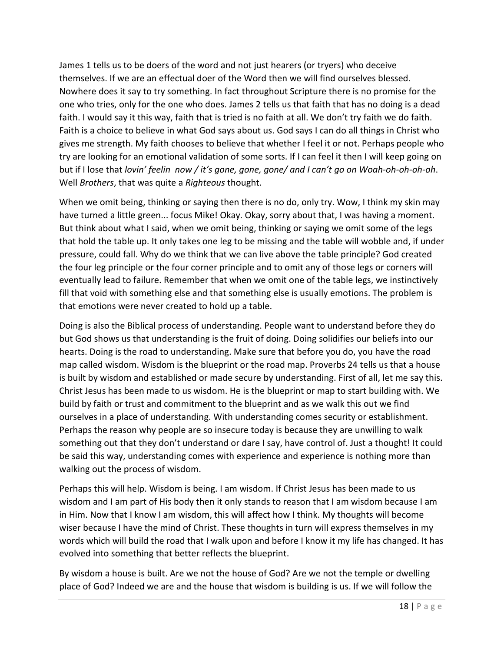James 1 tells us to be doers of the word and not just hearers (or tryers) who deceive themselves. If we are an effectual doer of the Word then we will find ourselves blessed. Nowhere does it say to try something. In fact throughout Scripture there is no promise for the one who tries, only for the one who does. James 2 tells us that faith that has no doing is a dead faith. I would say it this way, faith that is tried is no faith at all. We don't try faith we do faith. Faith is a choice to believe in what God says about us. God says I can do all things in Christ who gives me strength. My faith chooses to believe that whether I feel it or not. Perhaps people who try are looking for an emotional validation of some sorts. If I can feel it then I will keep going on but if I lose that *lovin' feelin now / it's gone, gone, gone/ and I can't go on Woah-oh-oh-oh-oh*. Well *Brothers*, that was quite a *Righteous* thought.

When we omit being, thinking or saying then there is no do, only try. Wow, I think my skin may have turned a little green... focus Mike! Okay. Okay, sorry about that, I was having a moment. But think about what I said, when we omit being, thinking or saying we omit some of the legs that hold the table up. It only takes one leg to be missing and the table will wobble and, if under pressure, could fall. Why do we think that we can live above the table principle? God created the four leg principle or the four corner principle and to omit any of those legs or corners will eventually lead to failure. Remember that when we omit one of the table legs, we instinctively fill that void with something else and that something else is usually emotions. The problem is that emotions were never created to hold up a table.

Doing is also the Biblical process of understanding. People want to understand before they do but God shows us that understanding is the fruit of doing. Doing solidifies our beliefs into our hearts. Doing is the road to understanding. Make sure that before you do, you have the road map called wisdom. Wisdom is the blueprint or the road map. Proverbs 24 tells us that a house is built by wisdom and established or made secure by understanding. First of all, let me say this. Christ Jesus has been made to us wisdom. He is the blueprint or map to start building with. We build by faith or trust and commitment to the blueprint and as we walk this out we find ourselves in a place of understanding. With understanding comes security or establishment. Perhaps the reason why people are so insecure today is because they are unwilling to walk something out that they don't understand or dare I say, have control of. Just a thought! It could be said this way, understanding comes with experience and experience is nothing more than walking out the process of wisdom.

Perhaps this will help. Wisdom is being. I am wisdom. If Christ Jesus has been made to us wisdom and I am part of His body then it only stands to reason that I am wisdom because I am in Him. Now that I know I am wisdom, this will affect how I think. My thoughts will become wiser because I have the mind of Christ. These thoughts in turn will express themselves in my words which will build the road that I walk upon and before I know it my life has changed. It has evolved into something that better reflects the blueprint.

By wisdom a house is built. Are we not the house of God? Are we not the temple or dwelling place of God? Indeed we are and the house that wisdom is building is us. If we will follow the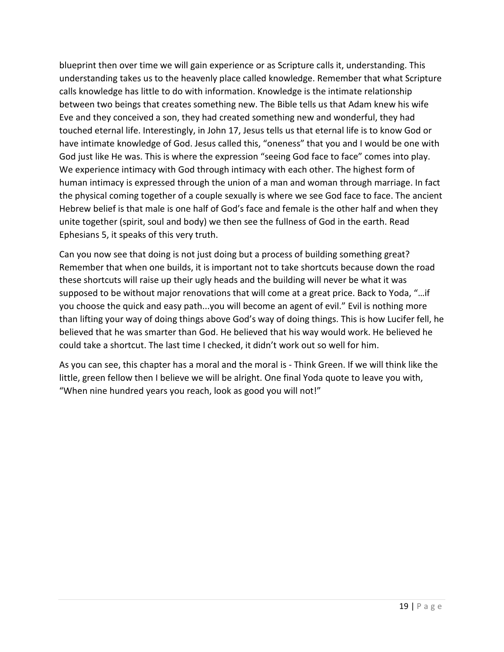blueprint then over time we will gain experience or as Scripture calls it, understanding. This understanding takes us to the heavenly place called knowledge. Remember that what Scripture calls knowledge has little to do with information. Knowledge is the intimate relationship between two beings that creates something new. The Bible tells us that Adam knew his wife Eve and they conceived a son, they had created something new and wonderful, they had touched eternal life. Interestingly, in John 17, Jesus tells us that eternal life is to know God or have intimate knowledge of God. Jesus called this, "oneness" that you and I would be one with God just like He was. This is where the expression "seeing God face to face" comes into play. We experience intimacy with God through intimacy with each other. The highest form of human intimacy is expressed through the union of a man and woman through marriage. In fact the physical coming together of a couple sexually is where we see God face to face. The ancient Hebrew belief is that male is one half of God's face and female is the other half and when they unite together (spirit, soul and body) we then see the fullness of God in the earth. Read Ephesians 5, it speaks of this very truth.

Can you now see that doing is not just doing but a process of building something great? Remember that when one builds, it is important not to take shortcuts because down the road these shortcuts will raise up their ugly heads and the building will never be what it was supposed to be without major renovations that will come at a great price. Back to Yoda, "…if you choose the quick and easy path...you will become an agent of evil." Evil is nothing more than lifting your way of doing things above God's way of doing things. This is how Lucifer fell, he believed that he was smarter than God. He believed that his way would work. He believed he could take a shortcut. The last time I checked, it didn't work out so well for him.

As you can see, this chapter has a moral and the moral is - Think Green. If we will think like the little, green fellow then I believe we will be alright. One final Yoda quote to leave you with, "When nine hundred years you reach, look as good you will not!"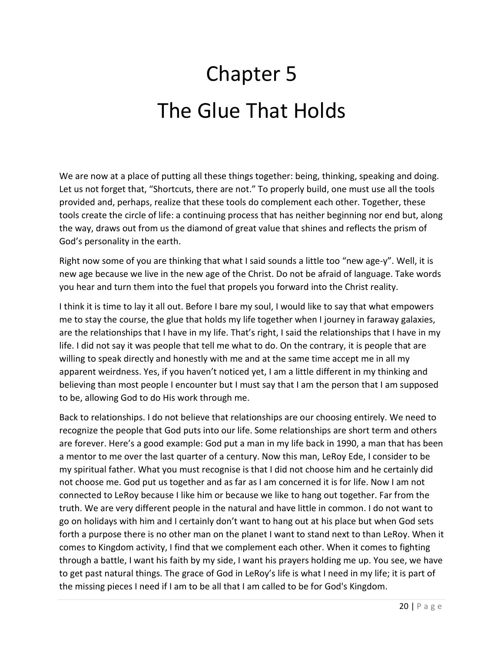### Chapter 5 The Glue That Holds

We are now at a place of putting all these things together: being, thinking, speaking and doing. Let us not forget that, "Shortcuts, there are not." To properly build, one must use all the tools provided and, perhaps, realize that these tools do complement each other. Together, these tools create the circle of life: a continuing process that has neither beginning nor end but, along the way, draws out from us the diamond of great value that shines and reflects the prism of God's personality in the earth.

Right now some of you are thinking that what I said sounds a little too "new age-y". Well, it is new age because we live in the new age of the Christ. Do not be afraid of language. Take words you hear and turn them into the fuel that propels you forward into the Christ reality.

I think it is time to lay it all out. Before I bare my soul, I would like to say that what empowers me to stay the course, the glue that holds my life together when I journey in faraway galaxies, are the relationships that I have in my life. That's right, I said the relationships that I have in my life. I did not say it was people that tell me what to do. On the contrary, it is people that are willing to speak directly and honestly with me and at the same time accept me in all my apparent weirdness. Yes, if you haven't noticed yet, I am a little different in my thinking and believing than most people I encounter but I must say that I am the person that I am supposed to be, allowing God to do His work through me.

Back to relationships. I do not believe that relationships are our choosing entirely. We need to recognize the people that God puts into our life. Some relationships are short term and others are forever. Here's a good example: God put a man in my life back in 1990, a man that has been a mentor to me over the last quarter of a century. Now this man, LeRoy Ede, I consider to be my spiritual father. What you must recognise is that I did not choose him and he certainly did not choose me. God put us together and as far as I am concerned it is for life. Now I am not connected to LeRoy because I like him or because we like to hang out together. Far from the truth. We are very different people in the natural and have little in common. I do not want to go on holidays with him and I certainly don't want to hang out at his place but when God sets forth a purpose there is no other man on the planet I want to stand next to than LeRoy. When it comes to Kingdom activity, I find that we complement each other. When it comes to fighting through a battle, I want his faith by my side, I want his prayers holding me up. You see, we have to get past natural things. The grace of God in LeRoy's life is what I need in my life; it is part of the missing pieces I need if I am to be all that I am called to be for God's Kingdom.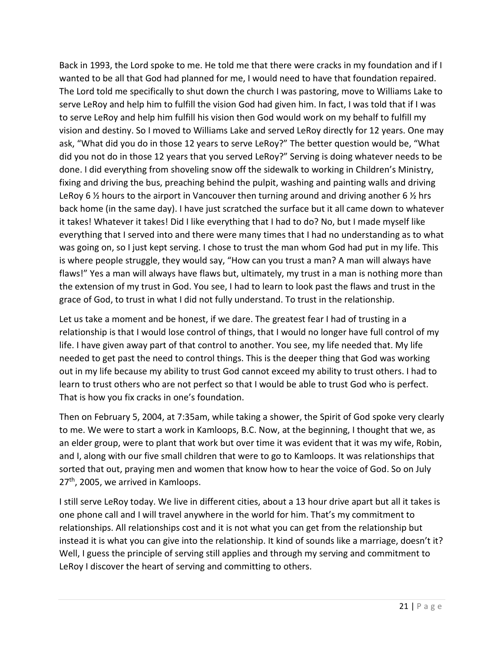Back in 1993, the Lord spoke to me. He told me that there were cracks in my foundation and if I wanted to be all that God had planned for me, I would need to have that foundation repaired. The Lord told me specifically to shut down the church I was pastoring, move to Williams Lake to serve LeRoy and help him to fulfill the vision God had given him. In fact, I was told that if I was to serve LeRoy and help him fulfill his vision then God would work on my behalf to fulfill my vision and destiny. So I moved to Williams Lake and served LeRoy directly for 12 years. One may ask, "What did you do in those 12 years to serve LeRoy?" The better question would be, "What did you not do in those 12 years that you served LeRoy?" Serving is doing whatever needs to be done. I did everything from shoveling snow off the sidewalk to working in Children's Ministry, fixing and driving the bus, preaching behind the pulpit, washing and painting walls and driving LeRoy 6 ½ hours to the airport in Vancouver then turning around and driving another 6 ½ hrs back home (in the same day). I have just scratched the surface but it all came down to whatever it takes! Whatever it takes! Did I like everything that I had to do? No, but I made myself like everything that I served into and there were many times that I had no understanding as to what was going on, so I just kept serving. I chose to trust the man whom God had put in my life. This is where people struggle, they would say, "How can you trust a man? A man will always have flaws!" Yes a man will always have flaws but, ultimately, my trust in a man is nothing more than the extension of my trust in God. You see, I had to learn to look past the flaws and trust in the grace of God, to trust in what I did not fully understand. To trust in the relationship.

Let us take a moment and be honest, if we dare. The greatest fear I had of trusting in a relationship is that I would lose control of things, that I would no longer have full control of my life. I have given away part of that control to another. You see, my life needed that. My life needed to get past the need to control things. This is the deeper thing that God was working out in my life because my ability to trust God cannot exceed my ability to trust others. I had to learn to trust others who are not perfect so that I would be able to trust God who is perfect. That is how you fix cracks in one's foundation.

Then on February 5, 2004, at 7:35am, while taking a shower, the Spirit of God spoke very clearly to me. We were to start a work in Kamloops, B.C. Now, at the beginning, I thought that we, as an elder group, were to plant that work but over time it was evident that it was my wife, Robin, and I, along with our five small children that were to go to Kamloops. It was relationships that sorted that out, praying men and women that know how to hear the voice of God. So on July 27<sup>th</sup>, 2005, we arrived in Kamloops.

I still serve LeRoy today. We live in different cities, about a 13 hour drive apart but all it takes is one phone call and I will travel anywhere in the world for him. That's my commitment to relationships. All relationships cost and it is not what you can get from the relationship but instead it is what you can give into the relationship. It kind of sounds like a marriage, doesn't it? Well, I guess the principle of serving still applies and through my serving and commitment to LeRoy I discover the heart of serving and committing to others.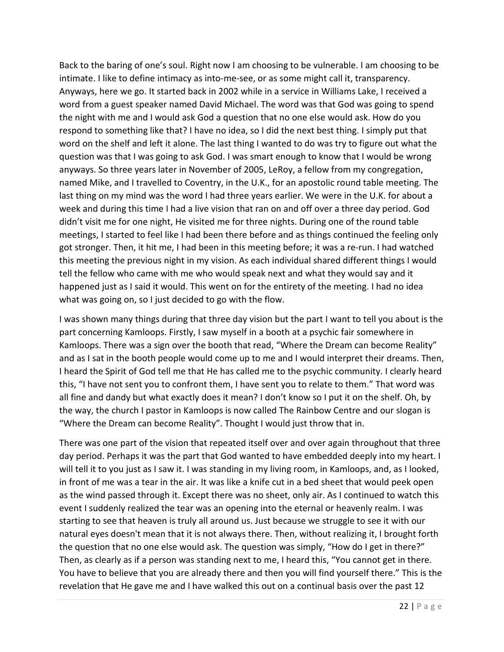Back to the baring of one's soul. Right now I am choosing to be vulnerable. I am choosing to be intimate. I like to define intimacy as into-me-see, or as some might call it, transparency. Anyways, here we go. It started back in 2002 while in a service in Williams Lake, I received a word from a guest speaker named David Michael. The word was that God was going to spend the night with me and I would ask God a question that no one else would ask. How do you respond to something like that? I have no idea, so I did the next best thing. I simply put that word on the shelf and left it alone. The last thing I wanted to do was try to figure out what the question was that I was going to ask God. I was smart enough to know that I would be wrong anyways. So three years later in November of 2005, LeRoy, a fellow from my congregation, named Mike, and I travelled to Coventry, in the U.K., for an apostolic round table meeting. The last thing on my mind was the word I had three years earlier. We were in the U.K. for about a week and during this time I had a live vision that ran on and off over a three day period. God didn't visit me for one night, He visited me for three nights. During one of the round table meetings, I started to feel like I had been there before and as things continued the feeling only got stronger. Then, it hit me, I had been in this meeting before; it was a re-run. I had watched this meeting the previous night in my vision. As each individual shared different things I would tell the fellow who came with me who would speak next and what they would say and it happened just as I said it would. This went on for the entirety of the meeting. I had no idea what was going on, so I just decided to go with the flow.

I was shown many things during that three day vision but the part I want to tell you about is the part concerning Kamloops. Firstly, I saw myself in a booth at a psychic fair somewhere in Kamloops. There was a sign over the booth that read, "Where the Dream can become Reality" and as I sat in the booth people would come up to me and I would interpret their dreams. Then, I heard the Spirit of God tell me that He has called me to the psychic community. I clearly heard this, "I have not sent you to confront them, I have sent you to relate to them." That word was all fine and dandy but what exactly does it mean? I don't know so I put it on the shelf. Oh, by the way, the church I pastor in Kamloops is now called The Rainbow Centre and our slogan is "Where the Dream can become Reality". Thought I would just throw that in.

There was one part of the vision that repeated itself over and over again throughout that three day period. Perhaps it was the part that God wanted to have embedded deeply into my heart. I will tell it to you just as I saw it. I was standing in my living room, in Kamloops, and, as I looked, in front of me was a tear in the air. It was like a knife cut in a bed sheet that would peek open as the wind passed through it. Except there was no sheet, only air. As I continued to watch this event I suddenly realized the tear was an opening into the eternal or heavenly realm. I was starting to see that heaven is truly all around us. Just because we struggle to see it with our natural eyes doesn't mean that it is not always there. Then, without realizing it, I brought forth the question that no one else would ask. The question was simply, "How do I get in there?" Then, as clearly as if a person was standing next to me, I heard this, "You cannot get in there. You have to believe that you are already there and then you will find yourself there." This is the revelation that He gave me and I have walked this out on a continual basis over the past 12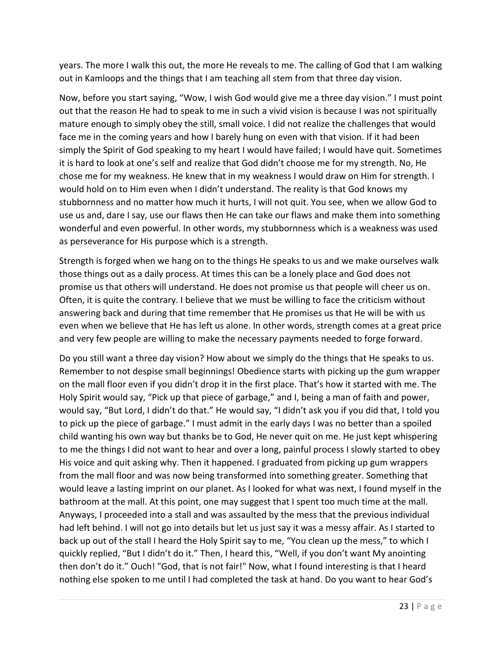years. The more I walk this out, the more He reveals to me. The calling of God that I am walking out in Kamloops and the things that I am teaching all stem from that three day vision.

Now, before you start saying, "Wow, I wish God would give me a three day vision." I must point out that the reason He had to speak to me in such a vivid vision is because I was not spiritually mature enough to simply obey the still, small voice. I did not realize the challenges that would face me in the coming years and how I barely hung on even with that vision. If it had been simply the Spirit of God speaking to my heart I would have failed; I would have quit. Sometimes it is hard to look at one's self and realize that God didn't choose me for my strength. No, He chose me for my weakness. He knew that in my weakness I would draw on Him for strength. I would hold on to Him even when I didn't understand. The reality is that God knows my stubbornness and no matter how much it hurts, I will not quit. You see, when we allow God to use us and, dare I say, use our flaws then He can take our flaws and make them into something wonderful and even powerful. In other words, my stubbornness which is a weakness was used as perseverance for His purpose which is a strength.

Strength is forged when we hang on to the things He speaks to us and we make ourselves walk those things out as a daily process. At times this can be a lonely place and God does not promise us that others will understand. He does not promise us that people will cheer us on. Often, it is quite the contrary. I believe that we must be willing to face the criticism without answering back and during that time remember that He promises us that He will be with us even when we believe that He has left us alone. In other words, strength comes at a great price and very few people are willing to make the necessary payments needed to forge forward.

Do you still want a three day vision? How about we simply do the things that He speaks to us. Remember to not despise small beginnings! Obedience starts with picking up the gum wrapper on the mall floor even if you didn't drop it in the first place. That's how it started with me. The Holy Spirit would say, "Pick up that piece of garbage," and I, being a man of faith and power, would say, "But Lord, I didn't do that." He would say, "I didn't ask you if you did that, I told you to pick up the piece of garbage." I must admit in the early days I was no better than a spoiled child wanting his own way but thanks be to God, He never quit on me. He just kept whispering to me the things I did not want to hear and over a long, painful process I slowly started to obey His voice and quit asking why. Then it happened. I graduated from picking up gum wrappers from the mall floor and was now being transformed into something greater. Something that would leave a lasting imprint on our planet. As I looked for what was next, I found myself in the bathroom at the mall. At this point, one may suggest that I spent too much time at the mall. Anyways, I proceeded into a stall and was assaulted by the mess that the previous individual had left behind. I will not go into details but let us just say it was a messy affair. As I started to back up out of the stall I heard the Holy Spirit say to me, "You clean up the mess," to which I quickly replied, "But I didn't do it." Then, I heard this, "Well, if you don't want My anointing then don't do it." Ouch! "God, that is not fair!" Now, what I found interesting is that I heard nothing else spoken to me until I had completed the task at hand. Do you want to hear God's